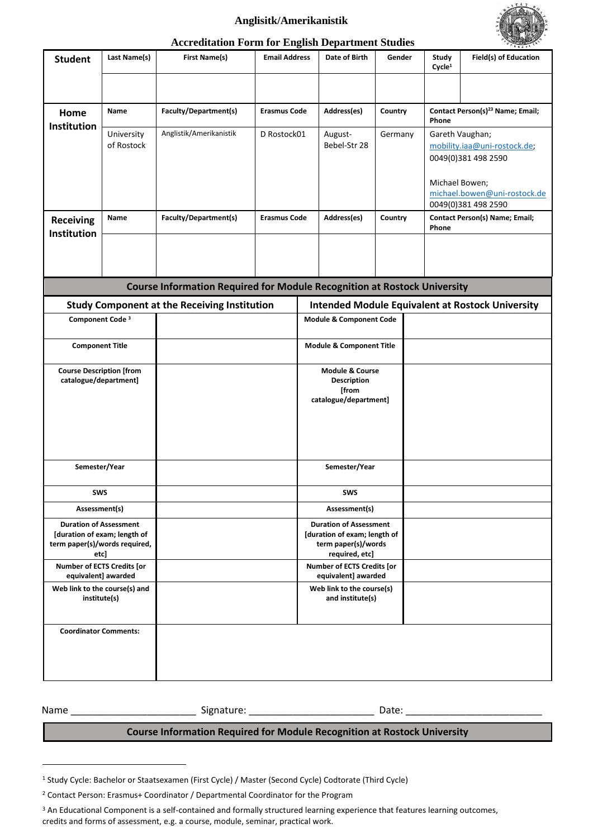## **Anglisitk/Amerikanistik**



## **Accreditation Form for English Department Studies**

| <b>Student</b>                                                                                         | Last Name(s)             | <b>First Name(s)</b>                                | <b>Email Address</b>                                    |                                                                         | Date of Birth                                     | Gender  |  | Study<br>Cycle <sup>1</sup>       | 9.9.9.5<br>Field(s) of Education                                                                           |  |
|--------------------------------------------------------------------------------------------------------|--------------------------|-----------------------------------------------------|---------------------------------------------------------|-------------------------------------------------------------------------|---------------------------------------------------|---------|--|-----------------------------------|------------------------------------------------------------------------------------------------------------|--|
|                                                                                                        |                          |                                                     |                                                         |                                                                         |                                                   |         |  |                                   |                                                                                                            |  |
| Home<br><b>Institution</b>                                                                             | Name                     | Faculty/Department(s)                               | <b>Erasmus Code</b>                                     |                                                                         | Address(es)                                       | Country |  | Phone                             | Contact Person(s) <sup>23</sup> Name; Email;                                                               |  |
|                                                                                                        | University<br>of Rostock | Anglistik/Amerikanistik                             | D Rostock01                                             |                                                                         | August-<br>Bebel-Str 28                           | Germany |  | Gareth Vaughan;<br>Michael Bowen; | mobility.iaa@uni-rostock.de;<br>0049(0)381 498 2590<br>michael.bowen@uni-rostock.de<br>0049(0)381 498 2590 |  |
| <b>Receiving</b><br><b>Institution</b>                                                                 | Name                     | Faculty/Department(s)                               | <b>Erasmus Code</b>                                     |                                                                         | Address(es)                                       | Country |  | Phone                             | <b>Contact Person(s) Name; Email;</b>                                                                      |  |
|                                                                                                        |                          |                                                     |                                                         |                                                                         |                                                   |         |  |                                   |                                                                                                            |  |
| <b>Course Information Required for Module Recognition at Rostock University</b>                        |                          |                                                     |                                                         |                                                                         |                                                   |         |  |                                   |                                                                                                            |  |
|                                                                                                        |                          | <b>Study Component at the Receiving Institution</b> | <b>Intended Module Equivalent at Rostock University</b> |                                                                         |                                                   |         |  |                                   |                                                                                                            |  |
| Component Code <sup>3</sup>                                                                            |                          |                                                     |                                                         | <b>Module &amp; Component Code</b>                                      |                                                   |         |  |                                   |                                                                                                            |  |
| <b>Component Title</b>                                                                                 |                          |                                                     | <b>Module &amp; Component Title</b>                     |                                                                         |                                                   |         |  |                                   |                                                                                                            |  |
| <b>Course Description [from</b><br>catalogue/department]                                               |                          |                                                     |                                                         | Module & Course<br><b>Description</b><br>[from<br>catalogue/department] |                                                   |         |  |                                   |                                                                                                            |  |
| Semester/Year                                                                                          |                          |                                                     |                                                         | Semester/Year                                                           |                                                   |         |  |                                   |                                                                                                            |  |
| <b>SWS</b>                                                                                             |                          |                                                     |                                                         | SWS                                                                     |                                                   |         |  |                                   |                                                                                                            |  |
| Assessment(s)                                                                                          |                          |                                                     |                                                         |                                                                         | Assessment(s)<br><b>Duration of Assessment</b>    |         |  |                                   |                                                                                                            |  |
| <b>Duration of Assessment</b><br>[duration of exam; length of<br>term paper(s)/words required,<br>etcl |                          |                                                     |                                                         | [duration of exam; length of<br>term paper(s)/words<br>required, etc]   |                                                   |         |  |                                   |                                                                                                            |  |
| Number of ECTS Credits [or<br>equivalent] awarded                                                      |                          |                                                     |                                                         |                                                                         | Number of ECTS Credits [or<br>equivalent] awarded |         |  |                                   |                                                                                                            |  |
| Web link to the course(s) and<br>institute(s)                                                          |                          |                                                     |                                                         |                                                                         | Web link to the course(s)<br>and institute(s)     |         |  |                                   |                                                                                                            |  |
| <b>Coordinator Comments:</b>                                                                           |                          |                                                     |                                                         |                                                                         |                                                   |         |  |                                   |                                                                                                            |  |

Name \_\_\_\_\_\_\_\_\_\_\_\_\_\_\_\_\_\_\_\_\_\_\_ Signature: \_\_\_\_\_\_\_\_\_\_\_\_\_\_\_\_\_\_\_\_\_\_\_ Date: \_\_\_\_\_\_\_\_\_\_\_\_\_\_\_\_\_\_\_\_\_\_\_\_\_

## **Course Information Required for Module Recognition at Rostock University**

<sup>1</sup> Study Cycle: Bachelor or Staatsexamen (First Cycle) / Master (Second Cycle) Codtorate (Third Cycle)

<sup>2</sup> Contact Person: Erasmus+ Coordinator / Departmental Coordinator for the Program

<sup>&</sup>lt;sup>3</sup> An Educational Component is a self-contained and formally structured learning experience that features learning outcomes, credits and forms of assessment, e.g. a course, module, seminar, practical work.